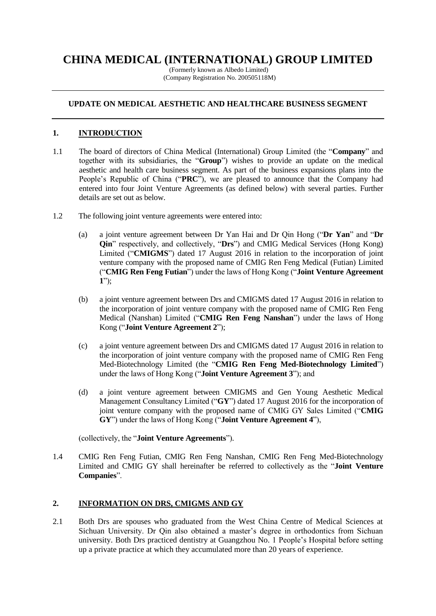# **CHINA MEDICAL (INTERNATIONAL) GROUP LIMITED**

(Formerly known as Albedo Limited) (Company Registration No. 200505118M)

# **UPDATE ON MEDICAL AESTHETIC AND HEALTHCARE BUSINESS SEGMENT**

# **1. INTRODUCTION**

- 1.1 The board of directors of China Medical (International) Group Limited (the "**Company**" and together with its subsidiaries, the "**Group**") wishes to provide an update on the medical aesthetic and health care business segment. As part of the business expansions plans into the People's Republic of China ("**PRC**"), we are pleased to announce that the Company had entered into four Joint Venture Agreements (as defined below) with several parties. Further details are set out as below.
- 1.2 The following joint venture agreements were entered into:
	- (a) a joint venture agreement between Dr Yan Hai and Dr Qin Hong ("**Dr Yan**" and "**Dr Qin**" respectively, and collectively, "**Drs**") and CMIG Medical Services (Hong Kong) Limited ("**CMIGMS**") dated 17 August 2016 in relation to the incorporation of joint venture company with the proposed name of CMIG Ren Feng Medical (Futian) Limited ("**CMIG Ren Feng Futian**") under the laws of Hong Kong ("**Joint Venture Agreement 1**");
	- (b) a joint venture agreement between Drs and CMIGMS dated 17 August 2016 in relation to the incorporation of joint venture company with the proposed name of CMIG Ren Feng Medical (Nanshan) Limited ("**CMIG Ren Feng Nanshan**") under the laws of Hong Kong ("**Joint Venture Agreement 2**");
	- (c) a joint venture agreement between Drs and CMIGMS dated 17 August 2016 in relation to the incorporation of joint venture company with the proposed name of CMIG Ren Feng Med-Biotechnology Limited (the "**CMIG Ren Feng Med-Biotechnology Limited**") under the laws of Hong Kong ("**Joint Venture Agreement 3**"); and
	- (d) a joint venture agreement between CMIGMS and Gen Young Aesthetic Medical Management Consultancy Limited ("**GY**") dated 17 August 2016 for the incorporation of joint venture company with the proposed name of CMIG GY Sales Limited ("**CMIG GY**") under the laws of Hong Kong ("**Joint Venture Agreement 4**"),

(collectively, the "**Joint Venture Agreements**").

1.4 CMIG Ren Feng Futian, CMIG Ren Feng Nanshan, CMIG Ren Feng Med-Biotechnology Limited and CMIG GY shall hereinafter be referred to collectively as the "**Joint Venture Companies**".

# **2. INFORMATION ON DRS, CMIGMS AND GY**

2.1 Both Drs are spouses who graduated from the West China Centre of Medical Sciences at Sichuan University. Dr Qin also obtained a master's degree in orthodontics from Sichuan university. Both Drs practiced dentistry at Guangzhou No. 1 People's Hospital before setting up a private practice at which they accumulated more than 20 years of experience.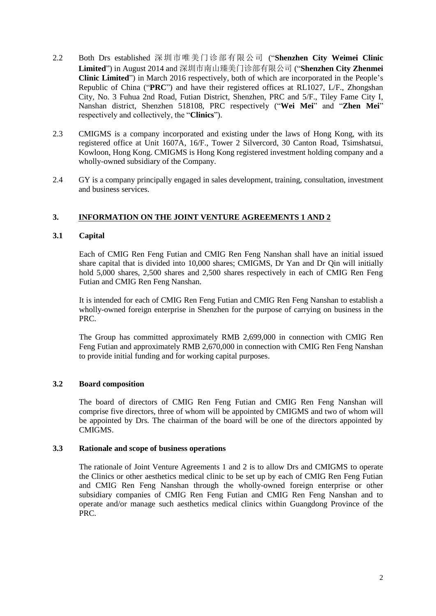- 2.2 Both Drs established 深圳市唯美门诊部有限公司 ("**Shenzhen City Weimei Clinic Limited**") in August 2014 and 深圳市南山臻美门诊部有限公司 ("**Shenzhen City Zhenmei Clinic Limited**") in March 2016 respectively, both of which are incorporated in the People's Republic of China ("**PRC**") and have their registered offices at RL1027, L/F., Zhongshan City, No. 3 Fuhua 2nd Road, Futian District, Shenzhen, PRC and 5/F., Tiley Fame City I, Nanshan district, Shenzhen 518108, PRC respectively ("**Wei Mei**" and "**Zhen Mei**" respectively and collectively, the "**Clinics**").
- 2.3 CMIGMS is a company incorporated and existing under the laws of Hong Kong, with its registered office at Unit 1607A, 16/F., Tower 2 Silvercord, 30 Canton Road, Tsimshatsui, Kowloon, Hong Kong. CMIGMS is Hong Kong registered investment holding company and a wholly-owned subsidiary of the Company.
- 2.4 GY is a company principally engaged in sales development, training, consultation, investment and business services.

# **3. INFORMATION ON THE JOINT VENTURE AGREEMENTS 1 AND 2**

#### **3.1 Capital**

Each of CMIG Ren Feng Futian and CMIG Ren Feng Nanshan shall have an initial issued share capital that is divided into 10,000 shares; CMIGMS, Dr Yan and Dr Qin will initially hold 5,000 shares, 2,500 shares and 2,500 shares respectively in each of CMIG Ren Feng Futian and CMIG Ren Feng Nanshan.

It is intended for each of CMIG Ren Feng Futian and CMIG Ren Feng Nanshan to establish a wholly-owned foreign enterprise in Shenzhen for the purpose of carrying on business in the PRC.

The Group has committed approximately RMB 2,699,000 in connection with CMIG Ren Feng Futian and approximately RMB 2,670,000 in connection with CMIG Ren Feng Nanshan to provide initial funding and for working capital purposes.

#### **3.2 Board composition**

The board of directors of CMIG Ren Feng Futian and CMIG Ren Feng Nanshan will comprise five directors, three of whom will be appointed by CMIGMS and two of whom will be appointed by Drs. The chairman of the board will be one of the directors appointed by CMIGMS.

#### **3.3 Rationale and scope of business operations**

The rationale of Joint Venture Agreements 1 and 2 is to allow Drs and CMIGMS to operate the Clinics or other aesthetics medical clinic to be set up by each of CMIG Ren Feng Futian and CMIG Ren Feng Nanshan through the wholly-owned foreign enterprise or other subsidiary companies of CMIG Ren Feng Futian and CMIG Ren Feng Nanshan and to operate and/or manage such aesthetics medical clinics within Guangdong Province of the PRC.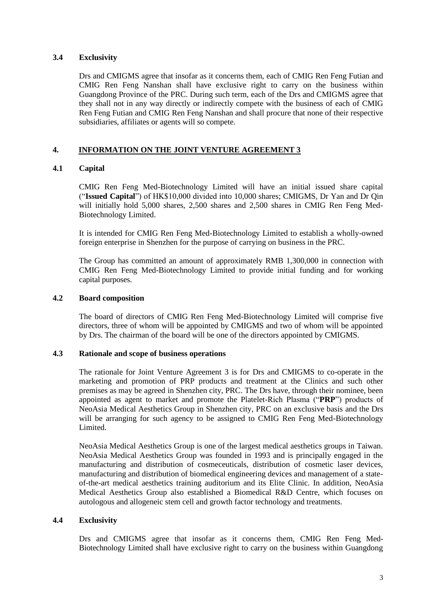#### **3.4 Exclusivity**

Drs and CMIGMS agree that insofar as it concerns them, each of CMIG Ren Feng Futian and CMIG Ren Feng Nanshan shall have exclusive right to carry on the business within Guangdong Province of the PRC. During such term, each of the Drs and CMIGMS agree that they shall not in any way directly or indirectly compete with the business of each of CMIG Ren Feng Futian and CMIG Ren Feng Nanshan and shall procure that none of their respective subsidiaries, affiliates or agents will so compete.

# **4. INFORMATION ON THE JOINT VENTURE AGREEMENT 3**

# **4.1 Capital**

CMIG Ren Feng Med-Biotechnology Limited will have an initial issued share capital ("**Issued Capital**") of HK\$10,000 divided into 10,000 shares; CMIGMS, Dr Yan and Dr Qin will initially hold 5,000 shares, 2,500 shares and 2,500 shares in CMIG Ren Feng Med-Biotechnology Limited.

It is intended for CMIG Ren Feng Med-Biotechnology Limited to establish a wholly-owned foreign enterprise in Shenzhen for the purpose of carrying on business in the PRC.

The Group has committed an amount of approximately RMB 1,300,000 in connection with CMIG Ren Feng Med-Biotechnology Limited to provide initial funding and for working capital purposes.

#### **4.2 Board composition**

The board of directors of CMIG Ren Feng Med-Biotechnology Limited will comprise five directors, three of whom will be appointed by CMIGMS and two of whom will be appointed by Drs. The chairman of the board will be one of the directors appointed by CMIGMS.

#### **4.3 Rationale and scope of business operations**

The rationale for Joint Venture Agreement 3 is for Drs and CMIGMS to co-operate in the marketing and promotion of PRP products and treatment at the Clinics and such other premises as may be agreed in Shenzhen city, PRC. The Drs have, through their nominee, been appointed as agent to market and promote the Platelet-Rich Plasma ("**PRP**") products of NeoAsia Medical Aesthetics Group in Shenzhen city, PRC on an exclusive basis and the Drs will be arranging for such agency to be assigned to CMIG Ren Feng Med-Biotechnology Limited.

NeoAsia Medical Aesthetics Group is one of the largest medical aesthetics groups in Taiwan. NeoAsia Medical Aesthetics Group was founded in 1993 and is principally engaged in the manufacturing and distribution of cosmeceuticals, distribution of cosmetic laser devices, manufacturing and distribution of biomedical engineering devices and management of a stateof-the-art medical aesthetics training auditorium and its Elite Clinic. In addition, NeoAsia Medical Aesthetics Group also established a Biomedical R&D Centre, which focuses on autologous and allogeneic stem cell and growth factor technology and treatments.

#### **4.4 Exclusivity**

Drs and CMIGMS agree that insofar as it concerns them, CMIG Ren Feng Med-Biotechnology Limited shall have exclusive right to carry on the business within Guangdong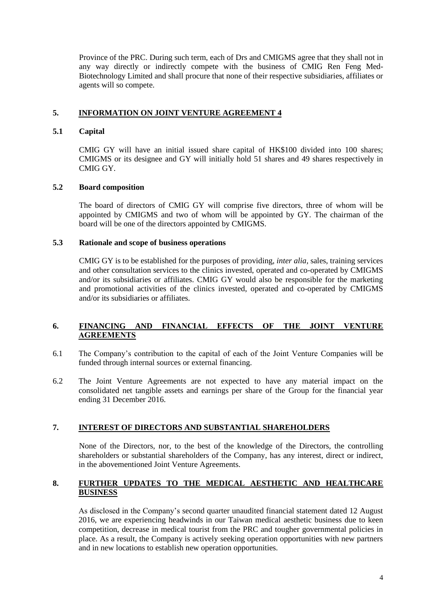Province of the PRC. During such term, each of Drs and CMIGMS agree that they shall not in any way directly or indirectly compete with the business of CMIG Ren Feng Med-Biotechnology Limited and shall procure that none of their respective subsidiaries, affiliates or agents will so compete.

# **5. INFORMATION ON JOINT VENTURE AGREEMENT 4**

### **5.1 Capital**

CMIG GY will have an initial issued share capital of HK\$100 divided into 100 shares; CMIGMS or its designee and GY will initially hold 51 shares and 49 shares respectively in CMIG GY.

## **5.2 Board composition**

The board of directors of CMIG GY will comprise five directors, three of whom will be appointed by CMIGMS and two of whom will be appointed by GY. The chairman of the board will be one of the directors appointed by CMIGMS.

## **5.3 Rationale and scope of business operations**

CMIG GY is to be established for the purposes of providing, *inter alia,* sales, training services and other consultation services to the clinics invested, operated and co-operated by CMIGMS and/or its subsidiaries or affiliates. CMIG GY would also be responsible for the marketing and promotional activities of the clinics invested, operated and co-operated by CMIGMS and/or its subsidiaries or affiliates.

## **6. FINANCING AND FINANCIAL EFFECTS OF THE JOINT VENTURE AGREEMENTS**

- 6.1 The Company's contribution to the capital of each of the Joint Venture Companies will be funded through internal sources or external financing.
- 6.2 The Joint Venture Agreements are not expected to have any material impact on the consolidated net tangible assets and earnings per share of the Group for the financial year ending 31 December 2016.

# **7. INTEREST OF DIRECTORS AND SUBSTANTIAL SHAREHOLDERS**

None of the Directors, nor, to the best of the knowledge of the Directors, the controlling shareholders or substantial shareholders of the Company, has any interest, direct or indirect, in the abovementioned Joint Venture Agreements.

## **8. FURTHER UPDATES TO THE MEDICAL AESTHETIC AND HEALTHCARE BUSINESS**

As disclosed in the Company's second quarter unaudited financial statement dated 12 August 2016, we are experiencing headwinds in our Taiwan medical aesthetic business due to keen competition, decrease in medical tourist from the PRC and tougher governmental policies in place. As a result, the Company is actively seeking operation opportunities with new partners and in new locations to establish new operation opportunities.